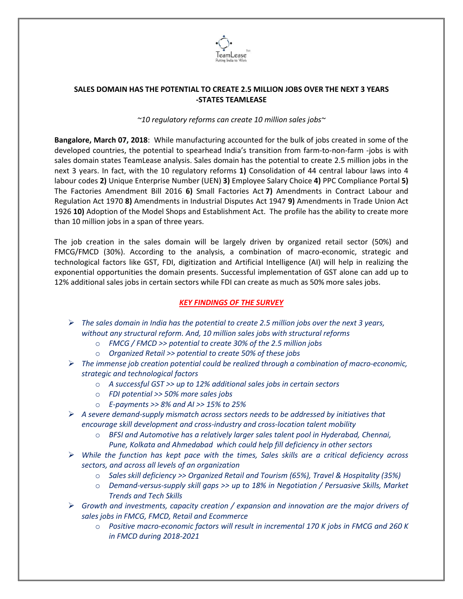

## **SALES DOMAIN HAS THE POTENTIAL TO CREATE 2.5 MILLION JOBS OVER THE NEXT 3 YEARS -STATES TEAMLEASE**

## *~10 regulatory reforms can create 10 million sales jobs~*

**Bangalore, March 07, 2018**: While manufacturing accounted for the bulk of jobs created in some of the developed countries, the potential to spearhead India's transition from farm-to-non-farm -jobs is with sales domain states TeamLease analysis. Sales domain has the potential to create 2.5 million jobs in the next 3 years. In fact, with the 10 regulatory reforms **1)** Consolidation of 44 central labour laws into 4 labour codes **2)** Unique Enterprise Number (UEN) **3)** Employee Salary Choice **4)** PPC Compliance Portal **5)** The Factories Amendment Bill 2016 **6)** Small Factories Act **7)** Amendments in Contract Labour and Regulation Act 1970 **8)** Amendments in Industrial Disputes Act 1947 **9)** Amendments in Trade Union Act 1926 **10)** Adoption of the Model Shops and Establishment Act. The profile has the ability to create more than 10 million jobs in a span of three years.

The job creation in the sales domain will be largely driven by organized retail sector (50%) and FMCG/FMCD (30%). According to the analysis, a combination of macro-economic, strategic and technological factors like GST, FDI, digitization and Artificial Intelligence (AI) will help in realizing the exponential opportunities the domain presents. Successful implementation of GST alone can add up to 12% additional sales jobs in certain sectors while FDI can create as much as 50% more sales jobs.

## *KEY FINDINGS OF THE SURVEY*

- *The sales domain in India has the potential to create 2.5 million jobs over the next 3 years, without any structural reform. And, 10 million sales jobs with structural reforms*
	- o *FMCG / FMCD >> potential to create 30% of the 2.5 million jobs*
	- o *Organized Retail >> potential to create 50% of these jobs*
- *The immense job creation potential could be realized through a combination of macro-economic, strategic and technological factors*
	- o *A successful GST >> up to 12% additional sales jobs in certain sectors*
	- o *FDI potential >> 50% more sales jobs*
	- o *E-payments >> 8% and AI >> 15% to 25%*
- *A severe demand-supply mismatch across sectors needs to be addressed by initiatives that encourage skill development and cross-industry and cross-location talent mobility*
	- o *BFSI and Automotive has a relatively larger sales talent pool in Hyderabad, Chennai, Pune, Kolkata and Ahmedabad which could help fill deficiency in other sectors*
- *While the function has kept pace with the times, Sales skills are a critical deficiency across sectors, and across all levels of an organization*
	- o *Sales skill deficiency >> Organized Retail and Tourism (65%), Travel & Hospitality (35%)*
	- o *Demand-versus-supply skill gaps >> up to 18% in Negotiation / Persuasive Skills, Market Trends and Tech Skills*
- *Growth and investments, capacity creation / expansion and innovation are the major drivers of sales jobs in FMCG, FMCD, Retail and Ecommerce*
	- o *Positive macro-economic factors will result in incremental 170 K jobs in FMCG and 260 K in FMCD during 2018-2021*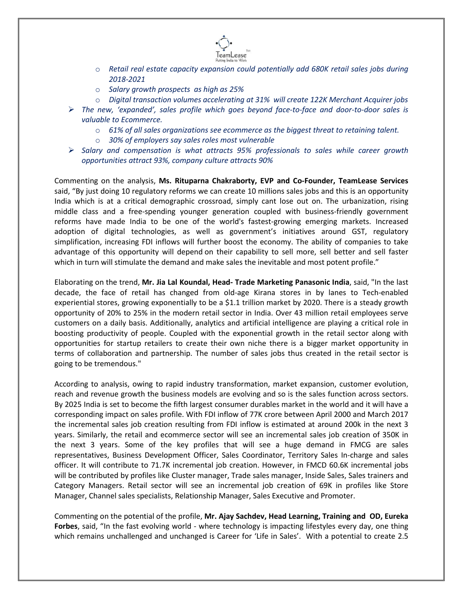

- o *Retail real estate capacity expansion could potentially add 680K retail sales jobs during 2018-2021*
- o *Salary growth prospects as high as 25%*
- o *Digital transaction volumes accelerating at 31% will create 122K Merchant Acquirer jobs*
- *The new, 'expanded', sales profile which goes beyond face-to-face and door-to-door sales is valuable to Ecommerce.*
	- o *61% of all sales organizations see ecommerce as the biggest threat to retaining talent.*
	- o *30% of employers say sales roles most vulnerable*
- *Salary and compensation is what attracts 95% professionals to sales while career growth opportunities attract 93%, company culture attracts 90%*

Commenting on the analysis, **Ms. Rituparna Chakraborty, EVP and Co-Founder, TeamLease Services** said, "By just doing 10 regulatory reforms we can create 10 millions sales jobs and this is an opportunity India which is at a critical demographic crossroad, simply cant lose out on. The urbanization, rising middle class and a free-spending younger generation coupled with business-friendly government reforms have made India to be one of the world's fastest-growing emerging markets. Increased adoption of digital technologies, as well as government's initiatives around GST, regulatory simplification, increasing FDI inflows will further boost the economy. The ability of companies to take advantage of this opportunity will depend on their capability to sell more, sell better and sell faster which in turn will stimulate the demand and make sales the inevitable and most potent profile."

Elaborating on the trend, **Mr. Jia Lal Koundal, Head- Trade Marketing Panasonic India**, said, "In the last decade, the face of retail has changed from old-age Kirana stores in by lanes to Tech-enabled experiential stores, growing exponentially to be a \$1.1 trillion market by 2020. There is a steady growth opportunity of 20% to 25% in the modern retail sector in India. Over 43 million retail employees serve customers on a daily basis. Additionally, analytics and artificial intelligence are playing a critical role in boosting productivity of people. Coupled with the exponential growth in the retail sector along with opportunities for startup retailers to create their own niche there is a bigger market opportunity in terms of collaboration and partnership. The number of sales jobs thus created in the retail sector is going to be tremendous."

According to analysis, owing to rapid industry transformation, market expansion, customer evolution, reach and revenue growth the business models are evolving and so is the sales function across sectors. By 2025 India is set to become the fifth largest consumer durables market in the world and it will have a corresponding impact on sales profile. With FDI inflow of 77K crore between April 2000 and March 2017 the incremental sales job creation resulting from FDI inflow is estimated at around 200k in the next 3 years. Similarly, the retail and ecommerce sector will see an incremental sales job creation of 350K in the next 3 years. Some of the key profiles that will see a huge demand in FMCG are sales representatives, Business Development Officer, Sales Coordinator, Territory Sales In-charge and sales officer. It will contribute to 71.7K incremental job creation. However, in FMCD 60.6K incremental jobs will be contributed by profiles like Cluster manager, Trade sales manager, Inside Sales, Sales trainers and Category Managers. Retail sector will see an incremental job creation of 69K in profiles like Store Manager, Channel sales specialists, Relationship Manager, Sales Executive and Promoter.

Commenting on the potential of the profile, **Mr. Ajay Sachdev, Head Learning, Training and OD, Eureka Forbes**, said, "In the fast evolving world - where technology is impacting lifestyles every day, one thing which remains unchallenged and unchanged is Career for 'Life in Sales'. With a potential to create 2.5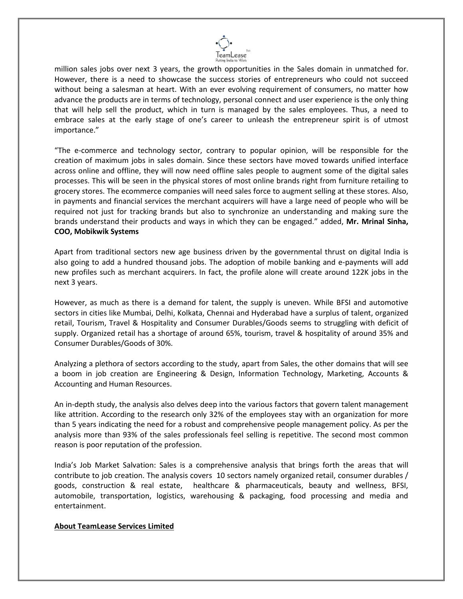

million sales jobs over next 3 years, the growth opportunities in the Sales domain in unmatched for. However, there is a need to showcase the success stories of entrepreneurs who could not succeed without being a salesman at heart. With an ever evolving requirement of consumers, no matter how advance the products are in terms of technology, personal connect and user experience is the only thing that will help sell the product, which in turn is managed by the sales employees. Thus, a need to embrace sales at the early stage of one's career to unleash the entrepreneur spirit is of utmost importance."

"The e-commerce and technology sector, contrary to popular opinion, will be responsible for the creation of maximum jobs in sales domain. Since these sectors have moved towards unified interface across online and offline, they will now need offline sales people to augment some of the digital sales processes. This will be seen in the physical stores of most online brands right from furniture retailing to grocery stores. The ecommerce companies will need sales force to augment selling at these stores. Also, in payments and financial services the merchant acquirers will have a large need of people who will be required not just for tracking brands but also to synchronize an understanding and making sure the brands understand their products and ways in which they can be engaged." added, **Mr. Mrinal Sinha, COO, Mobikwik Systems**

Apart from traditional sectors new age business driven by the governmental thrust on digital India is also going to add a hundred thousand jobs. The adoption of mobile banking and e-payments will add new profiles such as merchant acquirers. In fact, the profile alone will create around 122K jobs in the next 3 years.

However, as much as there is a demand for talent, the supply is uneven. While BFSI and automotive sectors in cities like Mumbai, Delhi, Kolkata, Chennai and Hyderabad have a surplus of talent, organized retail, Tourism, Travel & Hospitality and Consumer Durables/Goods seems to struggling with deficit of supply. Organized retail has a shortage of around 65%, tourism, travel & hospitality of around 35% and Consumer Durables/Goods of 30%.

Analyzing a plethora of sectors according to the study, apart from Sales, the other domains that will see a boom in job creation are Engineering & Design, Information Technology, Marketing, Accounts & Accounting and Human Resources.

An in-depth study, the analysis also delves deep into the various factors that govern talent management like attrition. According to the research only 32% of the employees stay with an organization for more than 5 years indicating the need for a robust and comprehensive people management policy. As per the analysis more than 93% of the sales professionals feel selling is repetitive. The second most common reason is poor reputation of the profession.

India's Job Market Salvation: Sales is a comprehensive analysis that brings forth the areas that will contribute to job creation. The analysis covers 10 sectors namely organized retail, consumer durables / goods, construction & real estate, healthcare & pharmaceuticals, beauty and wellness, BFSI, automobile, transportation, logistics, warehousing & packaging, food processing and media and entertainment.

## **About TeamLease Services Limited**